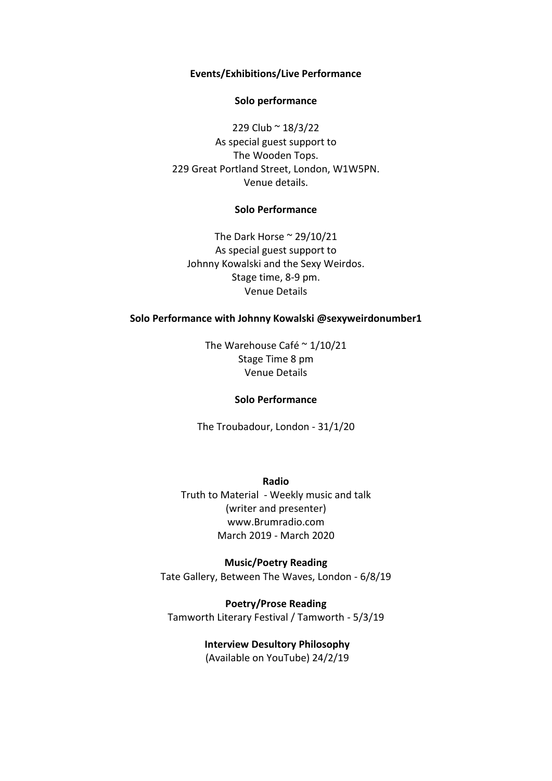## **Events/Exhibitions/Live Performance**

## **Solo performance**

229 Club ~ 18/3/22 As special guest support to The Wooden Tops. 229 Great Portland Street, London, W1W5PN. Venue details.

## **Solo Performance**

The Dark Horse  $\approx 29/10/21$ As special guest support to Johnny Kowalski and the Sexy Weirdos. Stage time, 8-9 pm. Venue Details

## **Solo Performance with Johnny Kowalski @sexyweirdonumber1**

The Warehouse Café ~ 1/10/21 Stage Time 8 pm Venue Details

#### **Solo Performance**

The Troubadour, London - 31/1/20

**Radio** Truth to Material - Weekly music and talk (writer and presenter) www.Brumradio.com March 2019 - March 2020

**Music/Poetry Reading** Tate Gallery, Between The Waves, London - 6/8/19

**Poetry/Prose Reading** Tamworth Literary Festival / Tamworth - 5/3/19

> **Interview Desultory Philosophy** (Available on YouTube) 24/2/19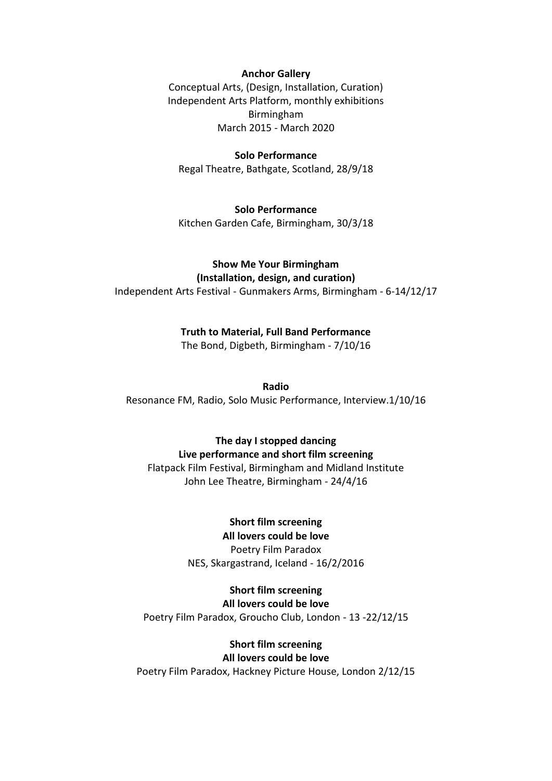## **Anchor Gallery**

Conceptual Arts, (Design, Installation, Curation) Independent Arts Platform, monthly exhibitions Birmingham March 2015 - March 2020

#### **Solo Performance**

Regal Theatre, Bathgate, Scotland, 28/9/18

**Solo Performance** Kitchen Garden Cafe, Birmingham, 30/3/18

# **Show Me Your Birmingham**

**(Installation, design, and curation)** Independent Arts Festival - Gunmakers Arms, Birmingham - 6-14/12/17

## **Truth to Material, Full Band Performance**

The Bond, Digbeth, Birmingham - 7/10/16

#### **Radio**

Resonance FM, Radio, Solo Music Performance, Interview.1/10/16

### **The day I stopped dancing**

**Live performance and short film screening**

Flatpack Film Festival, Birmingham and Midland Institute John Lee Theatre, Birmingham - 24/4/16

## **Short film screening**

**All lovers could be love** Poetry Film Paradox NES, Skargastrand, Iceland - 16/2/2016

## **Short film screening**

**All lovers could be love** Poetry Film Paradox, Groucho Club, London - 13 -22/12/15

## **Short film screening All lovers could be love**

Poetry Film Paradox, Hackney Picture House, London 2/12/15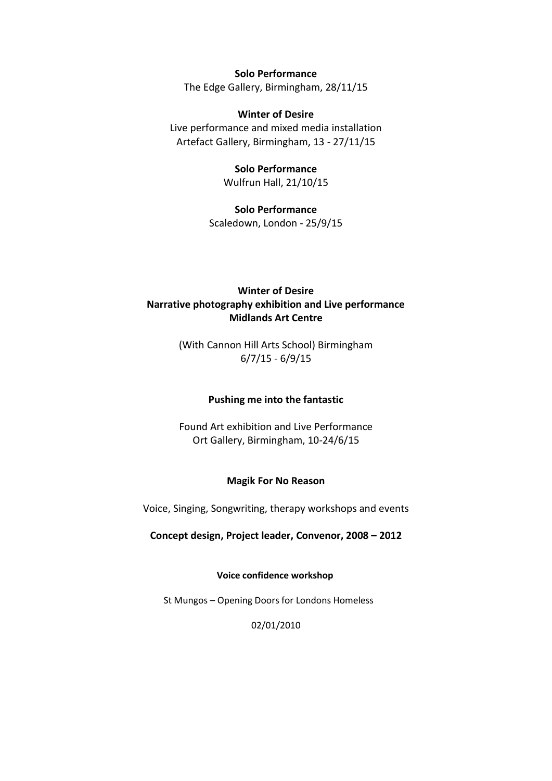**Solo Performance**

The Edge Gallery, Birmingham, 28/11/15

**Winter of Desire** Live performance and mixed media installation Artefact Gallery, Birmingham, 13 - 27/11/15

> **Solo Performance** Wulfrun Hall, 21/10/15

**Solo Performance** Scaledown, London - 25/9/15

# **Winter of Desire Narrative photography exhibition and Live performance Midlands Art Centre**

(With Cannon Hill Arts School) Birmingham 6/7/15 - 6/9/15

# **Pushing me into the fantastic**

Found Art exhibition and Live Performance Ort Gallery, Birmingham, 10-24/6/15

# **Magik For No Reason**

Voice, Singing, Songwriting, therapy workshops and events

**Concept design, Project leader, Convenor, 2008 – 2012**

## **Voice confidence workshop**

St Mungos – Opening Doors for Londons Homeless

02/01/2010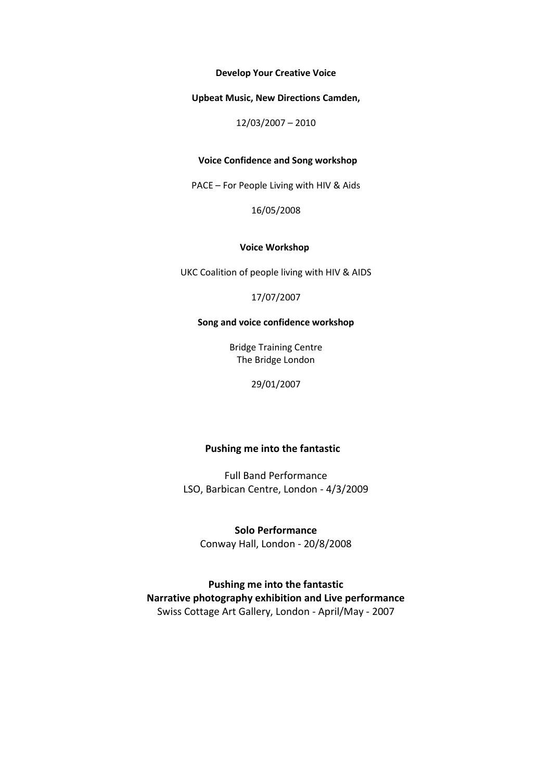**Develop Your Creative Voice**

**Upbeat Music, New Directions Camden,**

12/03/2007 – 2010

## **Voice Confidence and Song workshop**

PACE – For People Living with HIV & Aids

16/05/2008

#### **Voice Workshop**

UKC Coalition of people living with HIV & AIDS

17/07/2007

#### **Song and voice confidence workshop**

Bridge Training Centre The Bridge London

29/01/2007

### **Pushing me into the fantastic**

Full Band Performance LSO, Barbican Centre, London - 4/3/2009

**Solo Performance** Conway Hall, London - 20/8/2008

**Pushing me into the fantastic Narrative photography exhibition and Live performance** Swiss Cottage Art Gallery, London - April/May - 2007